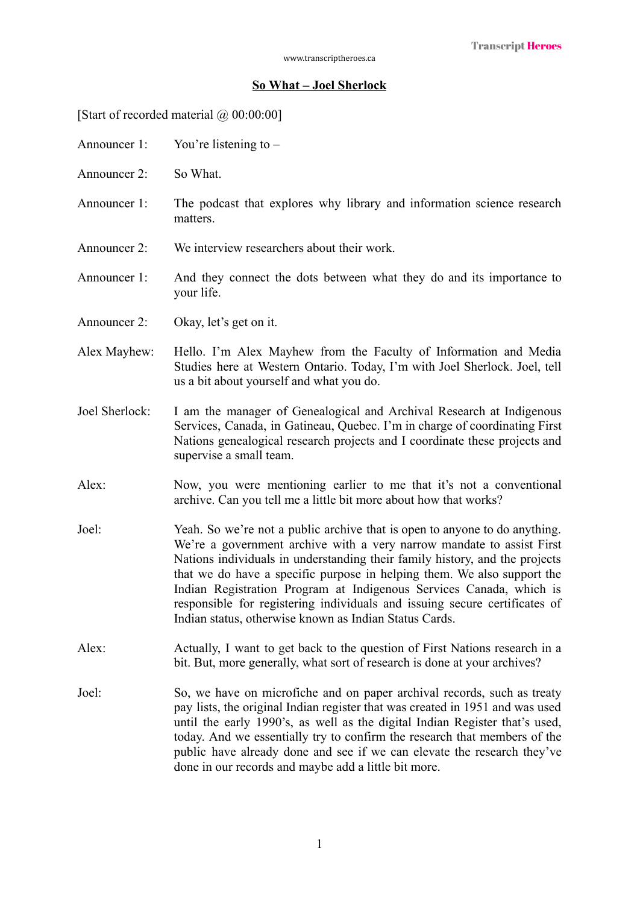## **So What – Joel Sherlock**

[Start of recorded material  $\omega$  00:00:00]

- Announcer 1: You're listening to –
- Announcer 2: So What.
- Announcer 1: The podcast that explores why library and information science research matters.
- Announcer 2: We interview researchers about their work.
- Announcer 1: And they connect the dots between what they do and its importance to your life.
- Announcer 2: Okay, let's get on it.
- Alex Mayhew: Hello. I'm Alex Mayhew from the Faculty of Information and Media Studies here at Western Ontario. Today, I'm with Joel Sherlock. Joel, tell us a bit about yourself and what you do.
- Joel Sherlock: I am the manager of Genealogical and Archival Research at Indigenous Services, Canada, in Gatineau, Quebec. I'm in charge of coordinating First Nations genealogical research projects and I coordinate these projects and supervise a small team.
- Alex: Now, you were mentioning earlier to me that it's not a conventional archive. Can you tell me a little bit more about how that works?
- Joel: Yeah. So we're not a public archive that is open to anyone to do anything. We're a government archive with a very narrow mandate to assist First Nations individuals in understanding their family history, and the projects that we do have a specific purpose in helping them. We also support the Indian Registration Program at Indigenous Services Canada, which is responsible for registering individuals and issuing secure certificates of Indian status, otherwise known as Indian Status Cards.
- Alex: Actually, I want to get back to the question of First Nations research in a bit. But, more generally, what sort of research is done at your archives?
- Joel: So, we have on microfiche and on paper archival records, such as treaty pay lists, the original Indian register that was created in 1951 and was used until the early 1990's, as well as the digital Indian Register that's used, today. And we essentially try to confirm the research that members of the public have already done and see if we can elevate the research they've done in our records and maybe add a little bit more.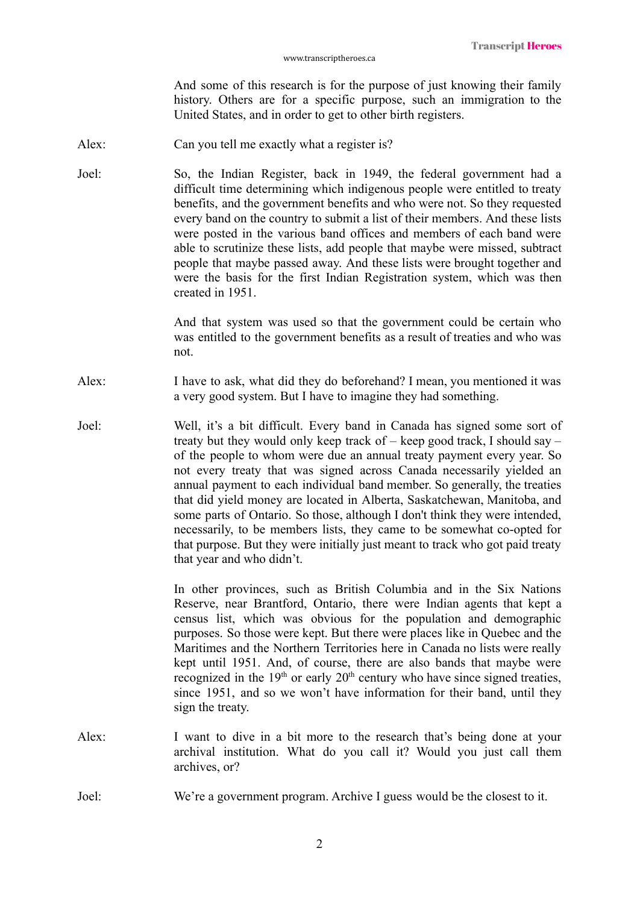And some of this research is for the purpose of just knowing their family history. Others are for a specific purpose, such an immigration to the United States, and in order to get to other birth registers.

- Alex: Can you tell me exactly what a register is?
- Joel: So, the Indian Register, back in 1949, the federal government had a difficult time determining which indigenous people were entitled to treaty benefits, and the government benefits and who were not. So they requested every band on the country to submit a list of their members. And these lists were posted in the various band offices and members of each band were able to scrutinize these lists, add people that maybe were missed, subtract people that maybe passed away. And these lists were brought together and were the basis for the first Indian Registration system, which was then created in 1951.

And that system was used so that the government could be certain who was entitled to the government benefits as a result of treaties and who was not.

- Alex: I have to ask, what did they do beforehand? I mean, you mentioned it was a very good system. But I have to imagine they had something.
- Joel: Well, it's a bit difficult. Every band in Canada has signed some sort of treaty but they would only keep track of – keep good track, I should say – of the people to whom were due an annual treaty payment every year. So not every treaty that was signed across Canada necessarily yielded an annual payment to each individual band member. So generally, the treaties that did yield money are located in Alberta, Saskatchewan, Manitoba, and some parts of Ontario. So those, although I don't think they were intended, necessarily, to be members lists, they came to be somewhat co-opted for that purpose. But they were initially just meant to track who got paid treaty that year and who didn't.

In other provinces, such as British Columbia and in the Six Nations Reserve, near Brantford, Ontario, there were Indian agents that kept a census list, which was obvious for the population and demographic purposes. So those were kept. But there were places like in Quebec and the Maritimes and the Northern Territories here in Canada no lists were really kept until 1951. And, of course, there are also bands that maybe were recognized in the  $19<sup>th</sup>$  or early  $20<sup>th</sup>$  century who have since signed treaties, since 1951, and so we won't have information for their band, until they sign the treaty.

- Alex: I want to dive in a bit more to the research that's being done at your archival institution. What do you call it? Would you just call them archives, or?
- Joel: We're a government program. Archive I guess would be the closest to it.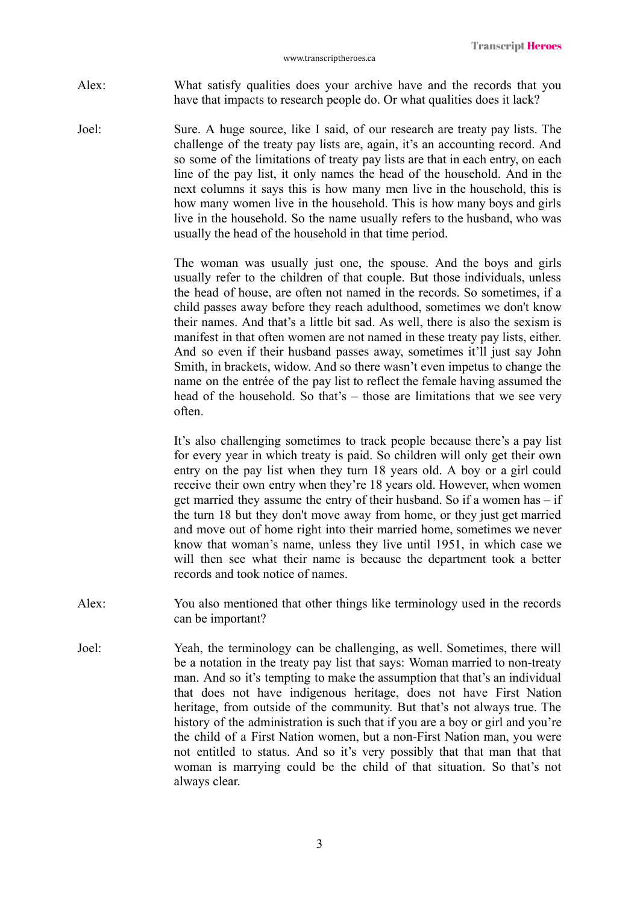Alex: What satisfy qualities does your archive have and the records that you have that impacts to research people do. Or what qualities does it lack?

Joel: Sure. A huge source, like I said, of our research are treaty pay lists. The challenge of the treaty pay lists are, again, it's an accounting record. And so some of the limitations of treaty pay lists are that in each entry, on each line of the pay list, it only names the head of the household. And in the next columns it says this is how many men live in the household, this is how many women live in the household. This is how many boys and girls live in the household. So the name usually refers to the husband, who was usually the head of the household in that time period.

> The woman was usually just one, the spouse. And the boys and girls usually refer to the children of that couple. But those individuals, unless the head of house, are often not named in the records. So sometimes, if a child passes away before they reach adulthood, sometimes we don't know their names. And that's a little bit sad. As well, there is also the sexism is manifest in that often women are not named in these treaty pay lists, either. And so even if their husband passes away, sometimes it'll just say John Smith, in brackets, widow. And so there wasn't even impetus to change the name on the entrée of the pay list to reflect the female having assumed the head of the household. So that's – those are limitations that we see very often.

> It's also challenging sometimes to track people because there's a pay list for every year in which treaty is paid. So children will only get their own entry on the pay list when they turn 18 years old. A boy or a girl could receive their own entry when they're 18 years old. However, when women get married they assume the entry of their husband. So if a women has – if the turn 18 but they don't move away from home, or they just get married and move out of home right into their married home, sometimes we never know that woman's name, unless they live until 1951, in which case we will then see what their name is because the department took a better records and took notice of names.

- Alex: You also mentioned that other things like terminology used in the records can be important?
- Joel: Yeah, the terminology can be challenging, as well. Sometimes, there will be a notation in the treaty pay list that says: Woman married to non-treaty man. And so it's tempting to make the assumption that that's an individual that does not have indigenous heritage, does not have First Nation heritage, from outside of the community. But that's not always true. The history of the administration is such that if you are a boy or girl and you're the child of a First Nation women, but a non-First Nation man, you were not entitled to status. And so it's very possibly that that man that that woman is marrying could be the child of that situation. So that's not always clear.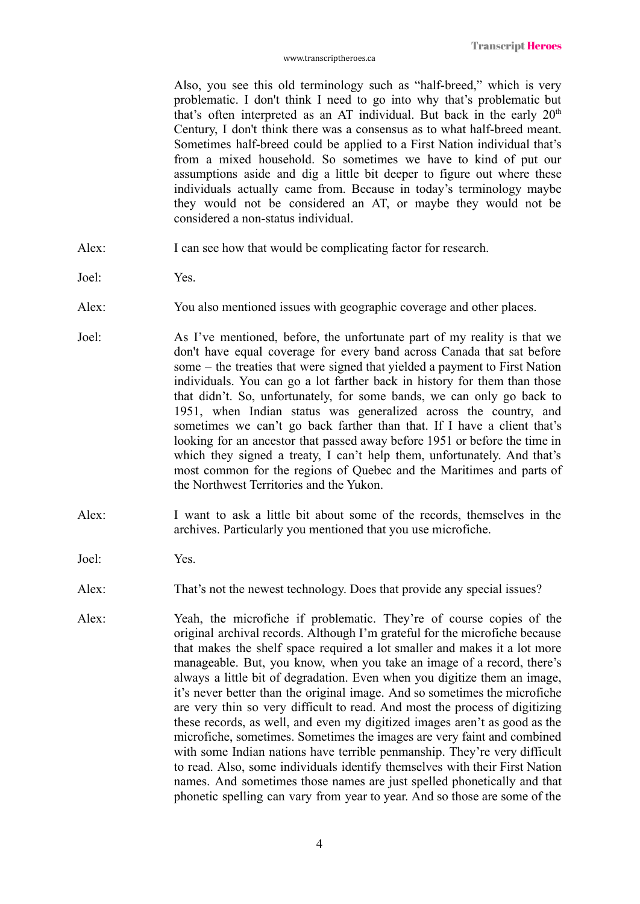Also, you see this old terminology such as "half-breed," which is very problematic. I don't think I need to go into why that's problematic but that's often interpreted as an AT individual. But back in the early  $20<sup>th</sup>$ Century, I don't think there was a consensus as to what half-breed meant. Sometimes half-breed could be applied to a First Nation individual that's from a mixed household. So sometimes we have to kind of put our assumptions aside and dig a little bit deeper to figure out where these individuals actually came from. Because in today's terminology maybe they would not be considered an AT, or maybe they would not be considered a non-status individual.

- Alex: I can see how that would be complicating factor for research.
- Joel: Yes.
- Alex: You also mentioned issues with geographic coverage and other places.
- Joel: As I've mentioned, before, the unfortunate part of my reality is that we don't have equal coverage for every band across Canada that sat before some – the treaties that were signed that yielded a payment to First Nation individuals. You can go a lot farther back in history for them than those that didn't. So, unfortunately, for some bands, we can only go back to 1951, when Indian status was generalized across the country, and sometimes we can't go back farther than that. If I have a client that's looking for an ancestor that passed away before 1951 or before the time in which they signed a treaty, I can't help them, unfortunately. And that's most common for the regions of Quebec and the Maritimes and parts of the Northwest Territories and the Yukon.
- Alex: I want to ask a little bit about some of the records, themselves in the archives. Particularly you mentioned that you use microfiche.
- Joel: Yes.
- Alex: That's not the newest technology. Does that provide any special issues?
- Alex: Yeah, the microfiche if problematic. They're of course copies of the original archival records. Although I'm grateful for the microfiche because that makes the shelf space required a lot smaller and makes it a lot more manageable. But, you know, when you take an image of a record, there's always a little bit of degradation. Even when you digitize them an image, it's never better than the original image. And so sometimes the microfiche are very thin so very difficult to read. And most the process of digitizing these records, as well, and even my digitized images aren't as good as the microfiche, sometimes. Sometimes the images are very faint and combined with some Indian nations have terrible penmanship. They're very difficult to read. Also, some individuals identify themselves with their First Nation names. And sometimes those names are just spelled phonetically and that phonetic spelling can vary from year to year. And so those are some of the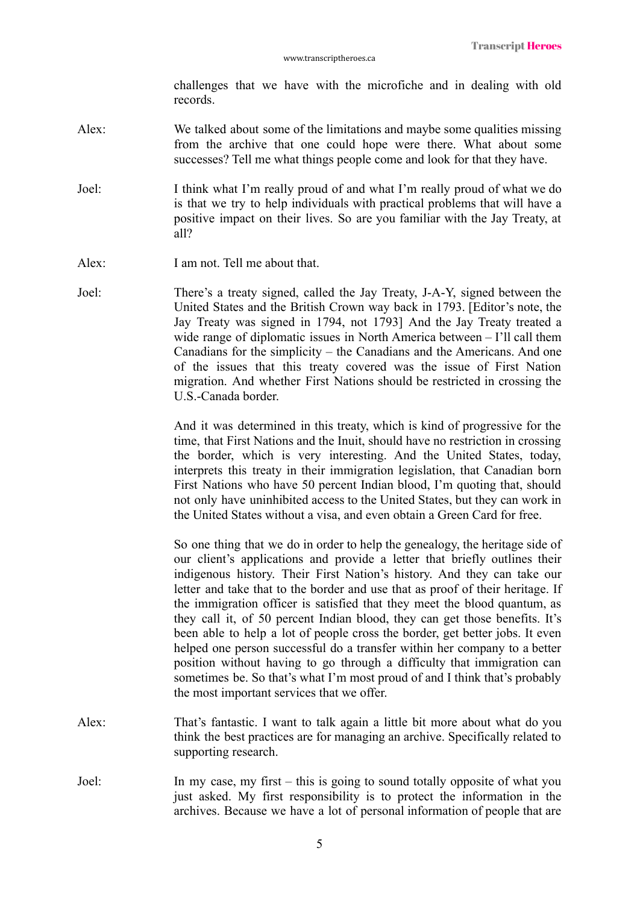challenges that we have with the microfiche and in dealing with old records.

- Alex: We talked about some of the limitations and maybe some qualities missing from the archive that one could hope were there. What about some successes? Tell me what things people come and look for that they have.
- Joel: I think what I'm really proud of and what I'm really proud of what we do is that we try to help individuals with practical problems that will have a positive impact on their lives. So are you familiar with the Jay Treaty, at all?
- Alex: I am not. Tell me about that.
- Joel: There's a treaty signed, called the Jay Treaty, J-A-Y, signed between the United States and the British Crown way back in 1793. [Editor's note, the Jay Treaty was signed in 1794, not 1793] And the Jay Treaty treated a wide range of diplomatic issues in North America between – I'll call them Canadians for the simplicity – the Canadians and the Americans. And one of the issues that this treaty covered was the issue of First Nation migration. And whether First Nations should be restricted in crossing the U.S.-Canada border.

And it was determined in this treaty, which is kind of progressive for the time, that First Nations and the Inuit, should have no restriction in crossing the border, which is very interesting. And the United States, today, interprets this treaty in their immigration legislation, that Canadian born First Nations who have 50 percent Indian blood, I'm quoting that, should not only have uninhibited access to the United States, but they can work in the United States without a visa, and even obtain a Green Card for free.

So one thing that we do in order to help the genealogy, the heritage side of our client's applications and provide a letter that briefly outlines their indigenous history. Their First Nation's history. And they can take our letter and take that to the border and use that as proof of their heritage. If the immigration officer is satisfied that they meet the blood quantum, as they call it, of 50 percent Indian blood, they can get those benefits. It's been able to help a lot of people cross the border, get better jobs. It even helped one person successful do a transfer within her company to a better position without having to go through a difficulty that immigration can sometimes be. So that's what I'm most proud of and I think that's probably the most important services that we offer.

- Alex: That's fantastic. I want to talk again a little bit more about what do you think the best practices are for managing an archive. Specifically related to supporting research.
- Joel: In my case, my first this is going to sound totally opposite of what you just asked. My first responsibility is to protect the information in the archives. Because we have a lot of personal information of people that are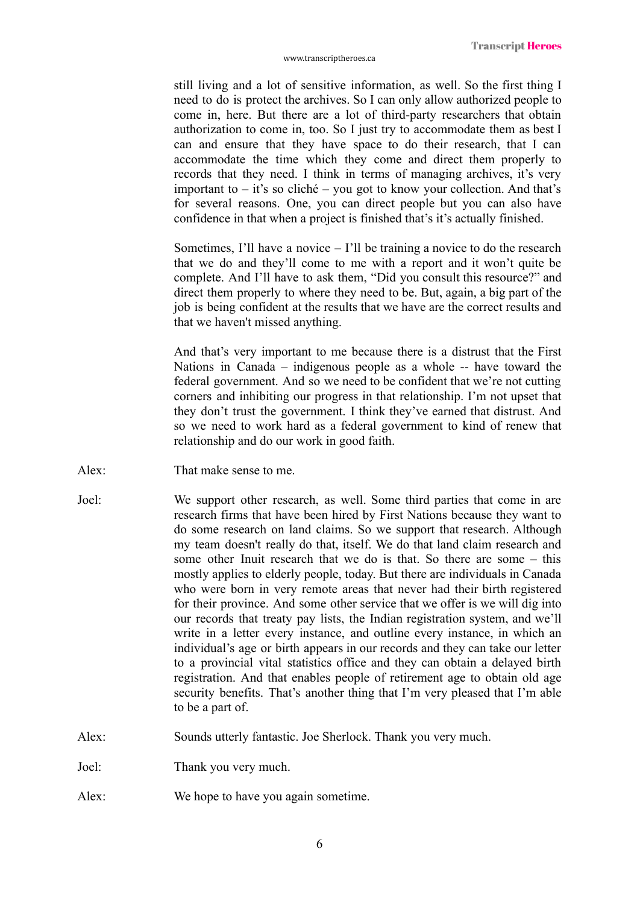still living and a lot of sensitive information, as well. So the first thing I need to do is protect the archives. So I can only allow authorized people to come in, here. But there are a lot of third-party researchers that obtain authorization to come in, too. So I just try to accommodate them as best I can and ensure that they have space to do their research, that I can accommodate the time which they come and direct them properly to records that they need. I think in terms of managing archives, it's very important to – it's so cliché – you got to know your collection. And that's for several reasons. One, you can direct people but you can also have confidence in that when a project is finished that's it's actually finished.

Sometimes, I'll have a novice  $-1$ 'll be training a novice to do the research that we do and they'll come to me with a report and it won't quite be complete. And I'll have to ask them, "Did you consult this resource?" and direct them properly to where they need to be. But, again, a big part of the job is being confident at the results that we have are the correct results and that we haven't missed anything.

And that's very important to me because there is a distrust that the First Nations in Canada – indigenous people as a whole -- have toward the federal government. And so we need to be confident that we're not cutting corners and inhibiting our progress in that relationship. I'm not upset that they don't trust the government. I think they've earned that distrust. And so we need to work hard as a federal government to kind of renew that relationship and do our work in good faith.

- Alex: That make sense to me.
- Joel: We support other research, as well. Some third parties that come in are research firms that have been hired by First Nations because they want to do some research on land claims. So we support that research. Although my team doesn't really do that, itself. We do that land claim research and some other Inuit research that we do is that. So there are some – this mostly applies to elderly people, today. But there are individuals in Canada who were born in very remote areas that never had their birth registered for their province. And some other service that we offer is we will dig into our records that treaty pay lists, the Indian registration system, and we'll write in a letter every instance, and outline every instance, in which an individual's age or birth appears in our records and they can take our letter to a provincial vital statistics office and they can obtain a delayed birth registration. And that enables people of retirement age to obtain old age security benefits. That's another thing that I'm very pleased that I'm able to be a part of.
- Alex: Sounds utterly fantastic. Joe Sherlock. Thank you very much.

Joel: Thank you very much.

Alex: We hope to have you again sometime.